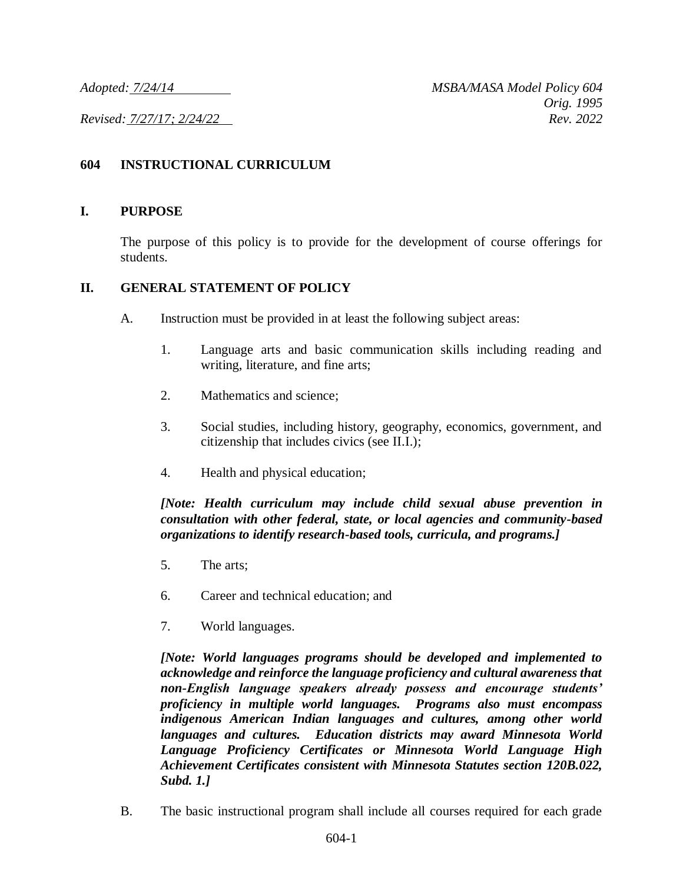# **604 INSTRUCTIONAL CURRICULUM**

#### **I. PURPOSE**

The purpose of this policy is to provide for the development of course offerings for students.

### **II. GENERAL STATEMENT OF POLICY**

- A. Instruction must be provided in at least the following subject areas:
	- 1. Language arts and basic communication skills including reading and writing, literature, and fine arts;
	- 2. Mathematics and science;
	- 3. Social studies, including history, geography, economics, government, and citizenship that includes civics (see II.I.);
	- 4. Health and physical education;

## *[Note: Health curriculum may include child sexual abuse prevention in consultation with other federal, state, or local agencies and community-based organizations to identify research-based tools, curricula, and programs.]*

- 5. The arts;
- 6. Career and technical education; and
- 7. World languages.

*[Note: World languages programs should be developed and implemented to acknowledge and reinforce the language proficiency and cultural awareness that non-English language speakers already possess and encourage students' proficiency in multiple world languages. Programs also must encompass indigenous American Indian languages and cultures, among other world languages and cultures. Education districts may award Minnesota World Language Proficiency Certificates or Minnesota World Language High Achievement Certificates consistent with Minnesota Statutes section 120B.022, Subd. 1.]*

B. The basic instructional program shall include all courses required for each grade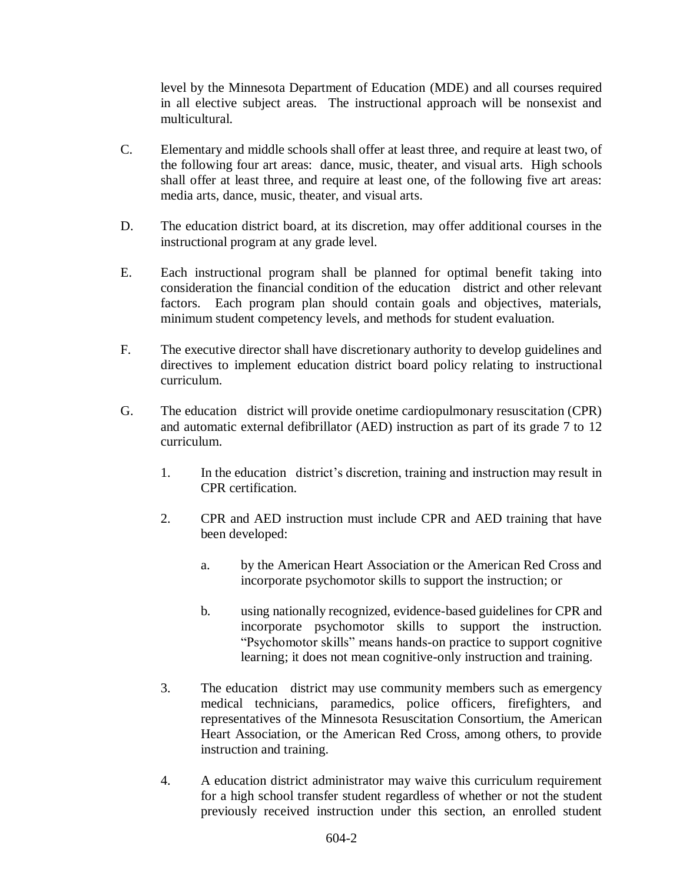level by the Minnesota Department of Education (MDE) and all courses required in all elective subject areas. The instructional approach will be nonsexist and multicultural.

- C. Elementary and middle schools shall offer at least three, and require at least two, of the following four art areas: dance, music, theater, and visual arts. High schools shall offer at least three, and require at least one, of the following five art areas: media arts, dance, music, theater, and visual arts.
- D. The education district board, at its discretion, may offer additional courses in the instructional program at any grade level.
- E. Each instructional program shall be planned for optimal benefit taking into consideration the financial condition of the education district and other relevant factors. Each program plan should contain goals and objectives, materials, minimum student competency levels, and methods for student evaluation.
- F. The executive director shall have discretionary authority to develop guidelines and directives to implement education district board policy relating to instructional curriculum.
- G. The education district will provide onetime cardiopulmonary resuscitation (CPR) and automatic external defibrillator (AED) instruction as part of its grade 7 to 12 curriculum.
	- 1. In the education district's discretion, training and instruction may result in CPR certification.
	- 2. CPR and AED instruction must include CPR and AED training that have been developed:
		- a. by the American Heart Association or the American Red Cross and incorporate psychomotor skills to support the instruction; or
		- b. using nationally recognized, evidence-based guidelines for CPR and incorporate psychomotor skills to support the instruction. "Psychomotor skills" means hands-on practice to support cognitive learning; it does not mean cognitive-only instruction and training.
	- 3. The education district may use community members such as emergency medical technicians, paramedics, police officers, firefighters, and representatives of the Minnesota Resuscitation Consortium, the American Heart Association, or the American Red Cross, among others, to provide instruction and training.
	- 4. A education district administrator may waive this curriculum requirement for a high school transfer student regardless of whether or not the student previously received instruction under this section, an enrolled student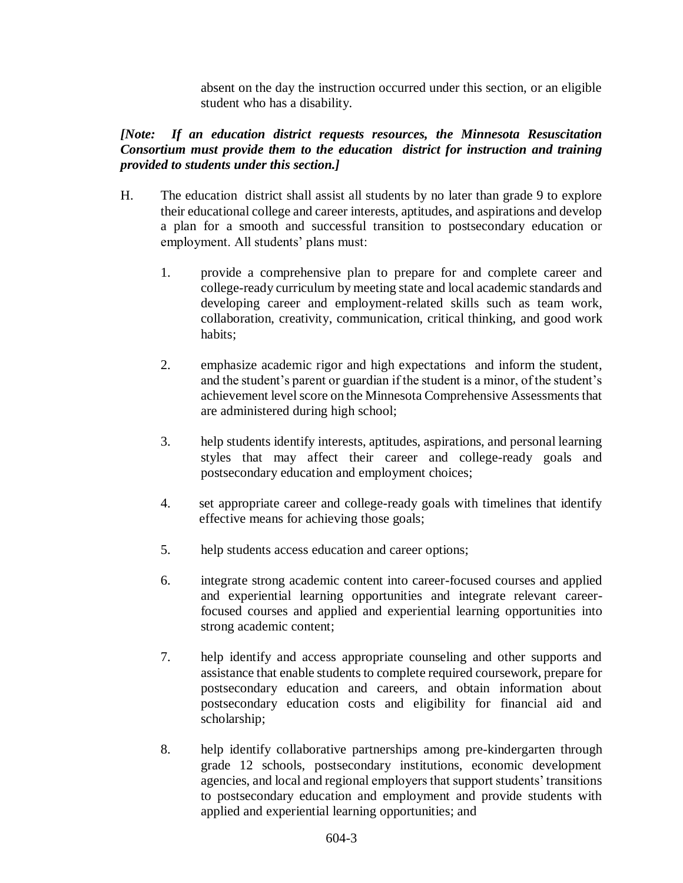absent on the day the instruction occurred under this section, or an eligible student who has a disability.

# *[Note: If an education district requests resources, the Minnesota Resuscitation Consortium must provide them to the education district for instruction and training provided to students under this section.]*

- H. The education district shall assist all students by no later than grade 9 to explore their educational college and career interests, aptitudes, and aspirations and develop a plan for a smooth and successful transition to postsecondary education or employment. All students' plans must:
	- 1. provide a comprehensive plan to prepare for and complete career and college-ready curriculum by meeting state and local academic standards and developing career and employment-related skills such as team work, collaboration, creativity, communication, critical thinking, and good work habits;
	- 2. emphasize academic rigor and high expectations and inform the student, and the student's parent or guardian if the student is a minor, of the student's achievement level score on the Minnesota Comprehensive Assessments that are administered during high school;
	- 3. help students identify interests, aptitudes, aspirations, and personal learning styles that may affect their career and college-ready goals and postsecondary education and employment choices;
	- 4. set appropriate career and college-ready goals with timelines that identify effective means for achieving those goals;
	- 5. help students access education and career options;
	- 6. integrate strong academic content into career-focused courses and applied and experiential learning opportunities and integrate relevant careerfocused courses and applied and experiential learning opportunities into strong academic content;
	- 7. help identify and access appropriate counseling and other supports and assistance that enable students to complete required coursework, prepare for postsecondary education and careers, and obtain information about postsecondary education costs and eligibility for financial aid and scholarship;
	- 8. help identify collaborative partnerships among pre-kindergarten through grade 12 schools, postsecondary institutions, economic development agencies, and local and regional employers that support students' transitions to postsecondary education and employment and provide students with applied and experiential learning opportunities; and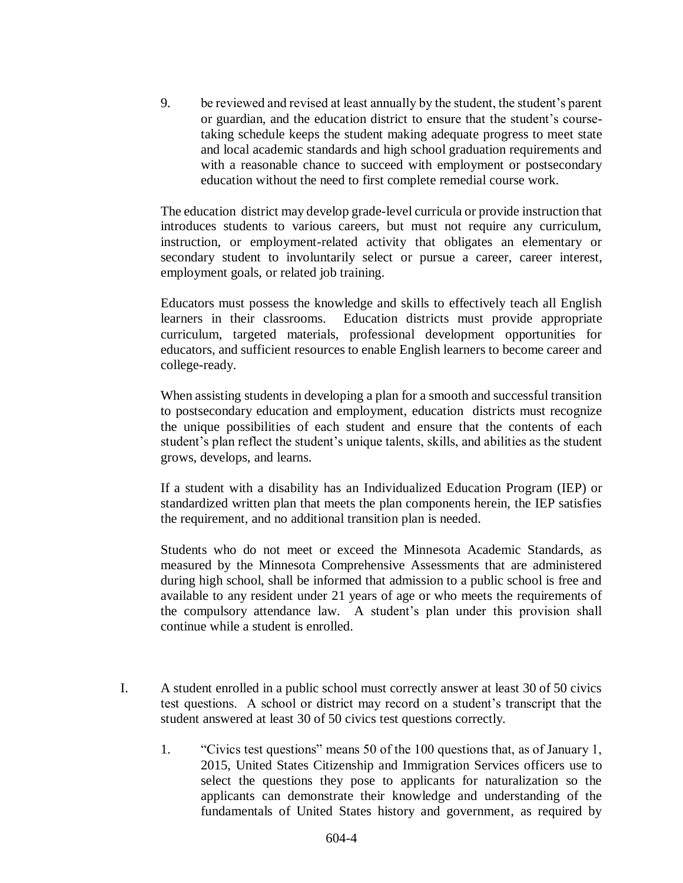9. be reviewed and revised at least annually by the student, the student's parent or guardian, and the education district to ensure that the student's coursetaking schedule keeps the student making adequate progress to meet state and local academic standards and high school graduation requirements and with a reasonable chance to succeed with employment or postsecondary education without the need to first complete remedial course work.

The education district may develop grade-level curricula or provide instruction that introduces students to various careers, but must not require any curriculum, instruction, or employment-related activity that obligates an elementary or secondary student to involuntarily select or pursue a career, career interest, employment goals, or related job training.

Educators must possess the knowledge and skills to effectively teach all English learners in their classrooms. Education districts must provide appropriate curriculum, targeted materials, professional development opportunities for educators, and sufficient resources to enable English learners to become career and college-ready.

When assisting students in developing a plan for a smooth and successful transition to postsecondary education and employment, education districts must recognize the unique possibilities of each student and ensure that the contents of each student's plan reflect the student's unique talents, skills, and abilities as the student grows, develops, and learns.

If a student with a disability has an Individualized Education Program (IEP) or standardized written plan that meets the plan components herein, the IEP satisfies the requirement, and no additional transition plan is needed.

Students who do not meet or exceed the Minnesota Academic Standards, as measured by the Minnesota Comprehensive Assessments that are administered during high school, shall be informed that admission to a public school is free and available to any resident under 21 years of age or who meets the requirements of the compulsory attendance law. A student's plan under this provision shall continue while a student is enrolled.

- I. A student enrolled in a public school must correctly answer at least 30 of 50 civics test questions. A school or district may record on a student's transcript that the student answered at least 30 of 50 civics test questions correctly.
	- 1. "Civics test questions" means 50 of the 100 questions that, as of January 1, 2015, United States Citizenship and Immigration Services officers use to select the questions they pose to applicants for naturalization so the applicants can demonstrate their knowledge and understanding of the fundamentals of United States history and government, as required by